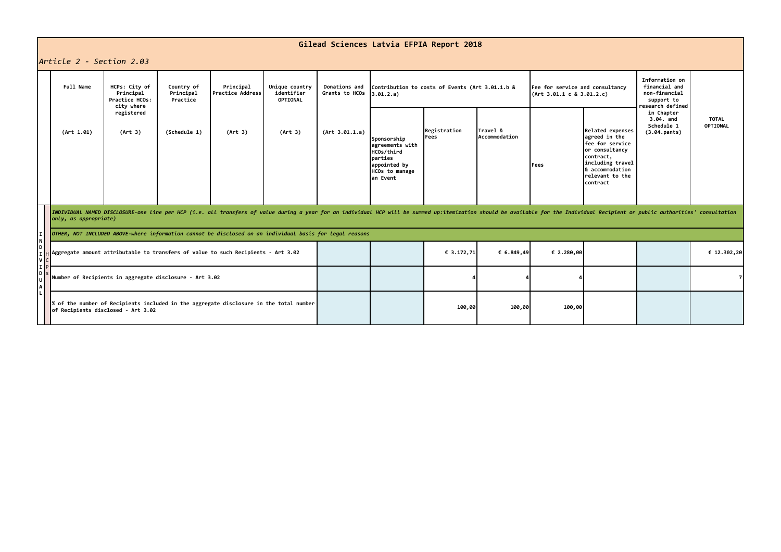## **Gilead Sciences Latvia EFPIA Report 2018**

## *Article 2 - Section 2.03*

| IAMTICLE 2 - SECTION 2.03 |                                                                                                                                                                                                                                                         |                                                            |                                     |                               |                                          |                                                                                                        |                                                              |                           |            |                                                                                                                                                                  |                                                       |                                                                                    |             |  |
|---------------------------|---------------------------------------------------------------------------------------------------------------------------------------------------------------------------------------------------------------------------------------------------------|------------------------------------------------------------|-------------------------------------|-------------------------------|------------------------------------------|--------------------------------------------------------------------------------------------------------|--------------------------------------------------------------|---------------------------|------------|------------------------------------------------------------------------------------------------------------------------------------------------------------------|-------------------------------------------------------|------------------------------------------------------------------------------------|-------------|--|
|                           | Full Name                                                                                                                                                                                                                                               | HCPs: City of<br>Principal<br>Practice HCOs:<br>city where | Country of<br>Principal<br>Practice | Principal<br>Practice Address | Unique country<br>identifier<br>OPTIONAL | <b>Donations and</b><br>Grants to HCOs                                                                 | Contribution to costs of Events (Art 3.01.1.b &<br>3.01.2.a) |                           |            | Fee for service and consultancy<br>(Art 3.01.1 c 8 3.01.2.c)                                                                                                     |                                                       | Information on<br>financial and<br>non-financial<br>support to<br>research defined |             |  |
|                           | (Art 1.01)                                                                                                                                                                                                                                              | registered<br>(Art 3)<br>(Schedule 1)                      | (Art 3)                             | (Art 3)                       | (Art 3.01.1.a)                           | Sponsorship<br>agreements with<br>HCOs/third<br>parties<br>appointed by<br>HCOs to manage<br>lan Event | Registration<br>Fees                                         | Travel &<br>Accommodation | Fees       | Related expenses<br>agreed in the<br><b>fee for service</b><br>or consultancy<br>contract,<br>including travel<br>& accommodation<br>relevant to the<br>contract | in Chapter<br>3.04. and<br>Schedule 1<br>(3.04.pants) | <b>TOTAL</b><br>OPTIONAL                                                           |             |  |
|                           | INDIVIDUAL NAMED DISCLOSURE-one line per HCP (i.e. all transfers of value during a year for an individual HCP will be summed up:itemization should be available for the Individual Recipient or public authorities' consultati<br>only, as appropriate) |                                                            |                                     |                               |                                          |                                                                                                        |                                                              |                           |            |                                                                                                                                                                  |                                                       |                                                                                    |             |  |
|                           | OTHER, NOT INCLUDED ABOVE-where information cannot be disclosed on an individual basis for legal reasons                                                                                                                                                |                                                            |                                     |                               |                                          |                                                                                                        |                                                              |                           |            |                                                                                                                                                                  |                                                       |                                                                                    |             |  |
| DІ<br>V <sub>c</sub>      | Aggregate amount attributable to transfers of value to such Recipients - Art 3.02                                                                                                                                                                       |                                                            |                                     |                               |                                          |                                                                                                        |                                                              | € 3.172,71                | € 6.849,49 | € 2.280,00                                                                                                                                                       |                                                       |                                                                                    | € 12.302,20 |  |
|                           | Number of Recipients in aggregate disclosure - Art 3.02                                                                                                                                                                                                 |                                                            |                                     |                               |                                          |                                                                                                        |                                                              |                           |            |                                                                                                                                                                  |                                                       |                                                                                    |             |  |
|                           | % of the number of Recipients included in the aggregate disclosure in the total number<br>of Recipients disclosed - Art 3.02                                                                                                                            |                                                            |                                     |                               |                                          |                                                                                                        |                                                              | 100,00                    | 100,00     | 100,00                                                                                                                                                           |                                                       |                                                                                    |             |  |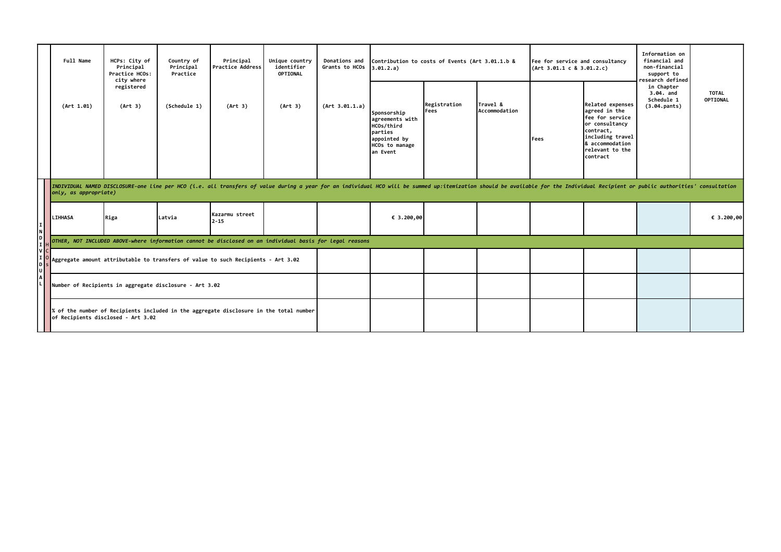|                  | Full Name                                                                                                                                                                                                                                               | HCPs: City of<br>Country of<br>Principal<br>Principal<br>Practice HCOs:<br>Practice<br>city where<br>registered<br>(Art 3)<br>(Schedule 1) |         | Principal<br>Practice Address | Unique country<br>identifier<br>OPTIONAL | Donations and<br>Grants to HCOs                                                                       | Contribution to costs of Events (Art 3.01.1.b &<br>3.01.2.a) |                           |      | Fee for service and consultancy<br>(Art 3.01.1 c 8 3.01.2.c)                                                                                               |                                                       | Information on<br>financial and<br>non-financial<br>support to<br>research defined |            |
|------------------|---------------------------------------------------------------------------------------------------------------------------------------------------------------------------------------------------------------------------------------------------------|--------------------------------------------------------------------------------------------------------------------------------------------|---------|-------------------------------|------------------------------------------|-------------------------------------------------------------------------------------------------------|--------------------------------------------------------------|---------------------------|------|------------------------------------------------------------------------------------------------------------------------------------------------------------|-------------------------------------------------------|------------------------------------------------------------------------------------|------------|
|                  | (Art 1.01)                                                                                                                                                                                                                                              |                                                                                                                                            | (Art 3) | (Art 3)                       | (Art 3.01.1.a)                           | Sponsorship<br>agreements with<br>HCOs/third<br>parties<br>appointed by<br>HCOs to manage<br>an Event | Registration<br>Fees                                         | Travel &<br>Accommodation | Fees | Related expenses<br>agreed in the<br>fee for service<br>or consultancy<br>contract,<br>including travel<br>8 accommodation<br>relevant to the<br>lcontract | in Chapter<br>3.04. and<br>Schedule 1<br>(3.04.pants) | <b>TOTAL</b><br>OPTIONAL                                                           |            |
|                  | INDIVIDUAL NAMED DISCLOSURE-one line per HCO (i.e. all transfers of value during a year for an individual HCO will be summed up:itemization should be available for the Individual Recipient or public authorities' consultati<br>only, as appropriate) |                                                                                                                                            |         |                               |                                          |                                                                                                       |                                                              |                           |      |                                                                                                                                                            |                                                       |                                                                                    |            |
| NI               | <b>LIHHASA</b>                                                                                                                                                                                                                                          | Riga                                                                                                                                       | Latvia  | Kazarmu street<br>2-15        |                                          |                                                                                                       | € 3.200,00                                                   |                           |      |                                                                                                                                                            |                                                       |                                                                                    | € 3.200,00 |
|                  | OTHER, NOT INCLUDED ABOVE-where information cannot be disclosed on an individual basis for legal reasons                                                                                                                                                |                                                                                                                                            |         |                               |                                          |                                                                                                       |                                                              |                           |      |                                                                                                                                                            |                                                       |                                                                                    |            |
| ΙvΙ<br>ЮI<br>ΙUΙ | Aggregate amount attributable to transfers of value to such Recipients - Art 3.02                                                                                                                                                                       |                                                                                                                                            |         |                               |                                          |                                                                                                       |                                                              |                           |      |                                                                                                                                                            |                                                       |                                                                                    |            |
|                  | Number of Recipients in aggregate disclosure - Art 3.02                                                                                                                                                                                                 |                                                                                                                                            |         |                               |                                          |                                                                                                       |                                                              |                           |      |                                                                                                                                                            |                                                       |                                                                                    |            |
|                  | % of the number of Recipients included in the aggregate disclosure in the total number<br>of Recipients disclosed - Art 3.02                                                                                                                            |                                                                                                                                            |         |                               |                                          |                                                                                                       |                                                              |                           |      |                                                                                                                                                            |                                                       |                                                                                    |            |